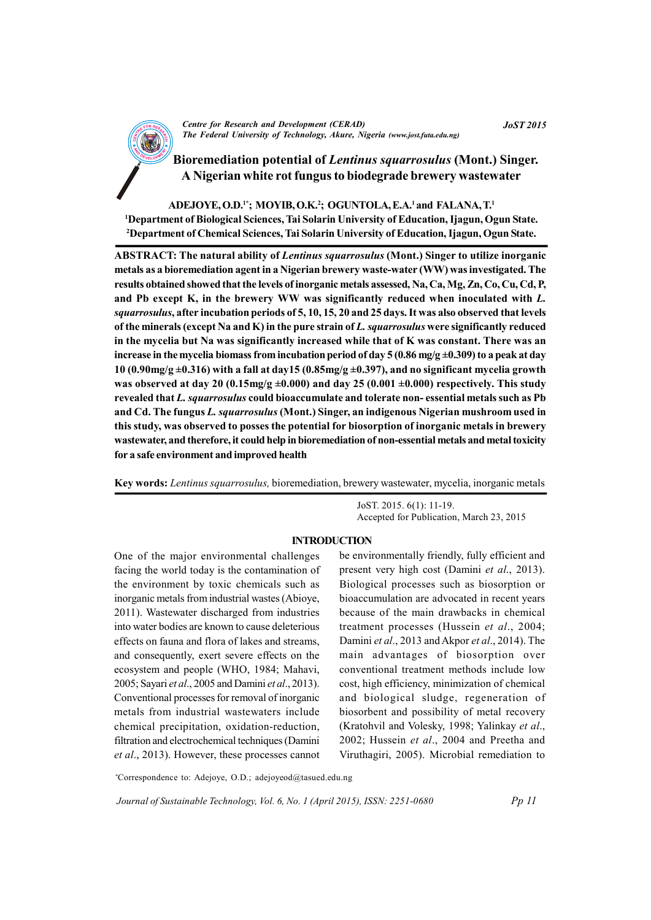

**Centre for Research and Development (CERAD)** The Federal University of Technology, Akure, Nigeria (www.jost.futa.edu.ng)

Bioremediation potential of Lentinus squarrosulus (Mont.) Singer. A Nigerian white rot fungus to biodegrade brewery wastewater

ADEJOYE, O.D.<sup>1\*</sup>; MOYIB, O.K.<sup>2</sup>; OGUNTOLA, E.A.<sup>1</sup> and FALANA, T.<sup>1</sup> <sup>1</sup>Department of Biological Sciences, Tai Solarin University of Education, Ijagun, Ogun State. <sup>2</sup>Department of Chemical Sciences, Tai Solarin University of Education, Ijagun, Ogun State.

**ABSTRACT: The natural ability of Lentinus squarrosulus (Mont.) Singer to utilize inorganic** metals as a bioremediation agent in a Nigerian brewery waste-water (WW) was investigated. The results obtained showed that the levels of inorganic metals assessed, Na, Ca, Mg, Zn, Co, Cu, Cd, P, and Pb except K, in the brewery WW was significantly reduced when inoculated with L. squarrosulus, after incubation periods of 5, 10, 15, 20 and 25 days. It was also observed that levels of the minerals (except Na and K) in the pure strain of  $L$ . squarrosulus were significantly reduced in the mycelia but Na was significantly increased while that of K was constant. There was an increase in the mycelia biomass from incubation period of day 5 (0.86 mg/g  $\pm$ 0.309) to a peak at day 10 (0.90mg/g  $\pm$ 0.316) with a fall at day15 (0.85mg/g  $\pm$ 0.397), and no significant mycelia growth was observed at day 20 (0.15mg/g  $\pm$ 0.000) and day 25 (0.001  $\pm$ 0.000) respectively. This study revealed that L. squarrosulus could bioaccumulate and tolerate non-essential metals such as Pb and Cd. The fungus L. squarrosulus (Mont.) Singer, an indigenous Nigerian mushroom used in this study, was observed to posses the potential for biosorption of inorganic metals in brewery wastewater, and therefore, it could help in bioremediation of non-essential metals and metal toxicity for a safe environment and improved health

Key words: *Lentinus squarrosulus*, bioremediation, brewery wastewater, mycelia, inorganic metals

JoST. 2015. 6(1): 11-19. Accepted for Publication, March 23, 2015

## **INTRODUCTION**

One of the major environmental challenges facing the world today is the contamination of the environment by toxic chemicals such as inorganic metals from industrial wastes (Abioye, 2011). Wastewater discharged from industries into water bodies are known to cause deleterious effects on fauna and flora of lakes and streams. and consequently, exert severe effects on the ecosystem and people (WHO, 1984; Mahavi, 2005; Savari et al., 2005 and Damini et al., 2013). Conventional processes for removal of inorganic metals from industrial wastewaters include chemical precipitation, oxidation-reduction, filtration and electrochemical techniques (Damini et al., 2013). However, these processes cannot be environmentally friendly, fully efficient and present very high cost (Damini et al., 2013). Biological processes such as biosorption or bioaccumulation are advocated in recent years because of the main drawbacks in chemical treatment processes (Hussein et al., 2004; Damini et al., 2013 and Akpor et al., 2014). The main advantages of biosorption over conventional treatment methods include low cost, high efficiency, minimization of chemical and biological sludge, regeneration of biosorbent and possibility of metal recovery (Kratohvil and Volesky, 1998; Yalinkay et al., 2002; Hussein et al., 2004 and Preetha and Viruthagiri, 2005). Microbial remediation to

\*Correspondence to: Adejoye, O.D.; adejoyeod@tasued.edu.ng

Journal of Sustainable Technology, Vol. 6, No. 1 (April 2015), ISSN: 2251-0680

**JoST 2015**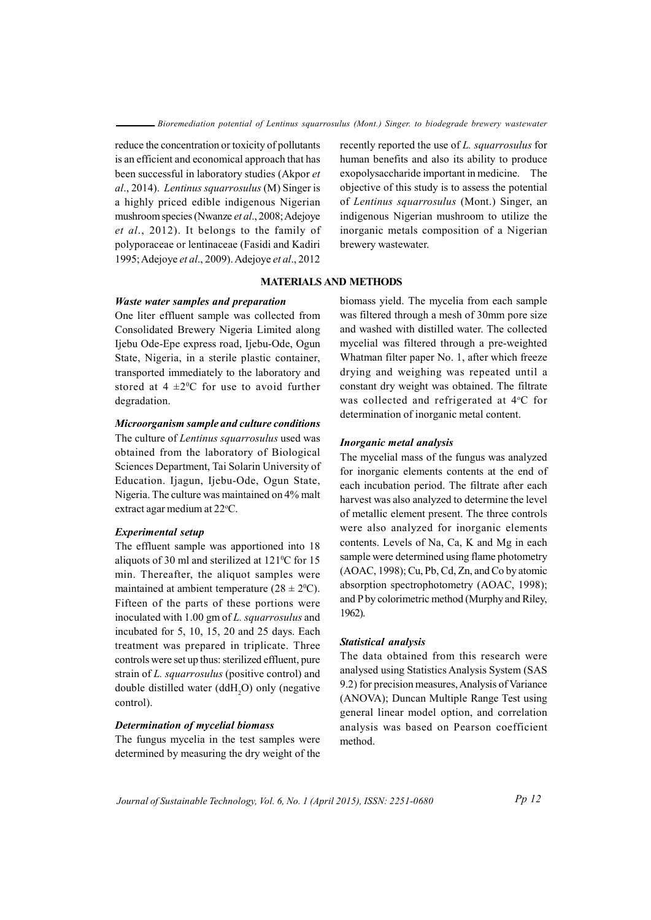reduce the concentration or toxicity of pollutants is an efficient and economical approach that has been successful in laboratory studies (Akpor et al., 2014). Lentinus squarrosulus (M) Singer is a highly priced edible indigenous Nigerian mushroom species (Nwanze et al., 2008; Adejoye et al., 2012). It belongs to the family of polyporaceae or lentinaceae (Fasidi and Kadiri 1995; Adejoye et al., 2009). Adejoye et al., 2012

recently reported the use of L. squarrosulus for human benefits and also its ability to produce exopolysaccharide important in medicine. The objective of this study is to assess the potential of Lentinus squarrosulus (Mont.) Singer, an indigenous Nigerian mushroom to utilize the inorganic metals composition of a Nigerian brewery wastewater.

# **MATERIALS AND METHODS**

### Waste water samples and preparation

One liter effluent sample was collected from Consolidated Brewery Nigeria Limited along Ijebu Ode-Epe express road, Ijebu-Ode, Ogun State, Nigeria, in a sterile plastic container, transported immediately to the laboratory and stored at  $4 \pm 2$ <sup>o</sup>C for use to avoid further degradation.

# Microorganism sample and culture conditions

The culture of *Lentinus squarrosulus* used was obtained from the laboratory of Biological Sciences Department, Tai Solarin University of Education. Ijagun, Ijebu-Ode, Ogun State, Nigeria. The culture was maintained on 4% malt extract agar medium at 22°C.

## **Experimental setup**

The effluent sample was apportioned into 18 aliquots of 30 ml and sterilized at 121°C for 15 min. Thereafter, the aliquot samples were maintained at ambient temperature  $(28 \pm 2^0C)$ . Fifteen of the parts of these portions were inoculated with 1.00 gm of L. squarrosulus and incubated for 5, 10, 15, 20 and 25 days. Each treatment was prepared in triplicate. Three controls were set up thus: sterilized effluent, pure strain of L. squarrosulus (positive control) and double distilled water (ddH<sub>2</sub>O) only (negative control).

## **Determination of mycelial biomass**

The fungus mycelia in the test samples were determined by measuring the dry weight of the

biomass yield. The mycelia from each sample was filtered through a mesh of 30mm pore size and washed with distilled water. The collected mycelial was filtered through a pre-weighted Whatman filter paper No. 1, after which freeze drying and weighing was repeated until a constant dry weight was obtained. The filtrate was collected and refrigerated at 4°C for determination of inorganic metal content.

#### Inorganic metal analysis

The mycelial mass of the fungus was analyzed for inorganic elements contents at the end of each incubation period. The filtrate after each harvest was also analyzed to determine the level of metallic element present. The three controls were also analyzed for inorganic elements contents. Levels of Na, Ca, K and Mg in each sample were determined using flame photometry (AOAC, 1998); Cu, Pb, Cd, Zn, and Co by atomic absorption spectrophotometry (AOAC, 1998); and P by colorimetric method (Murphy and Riley, 1962).

### Statistical analysis

The data obtained from this research were analysed using Statistics Analysis System (SAS 9.2) for precision measures, Analysis of Variance (ANOVA); Duncan Multiple Range Test using general linear model option, and correlation analysis was based on Pearson coefficient method.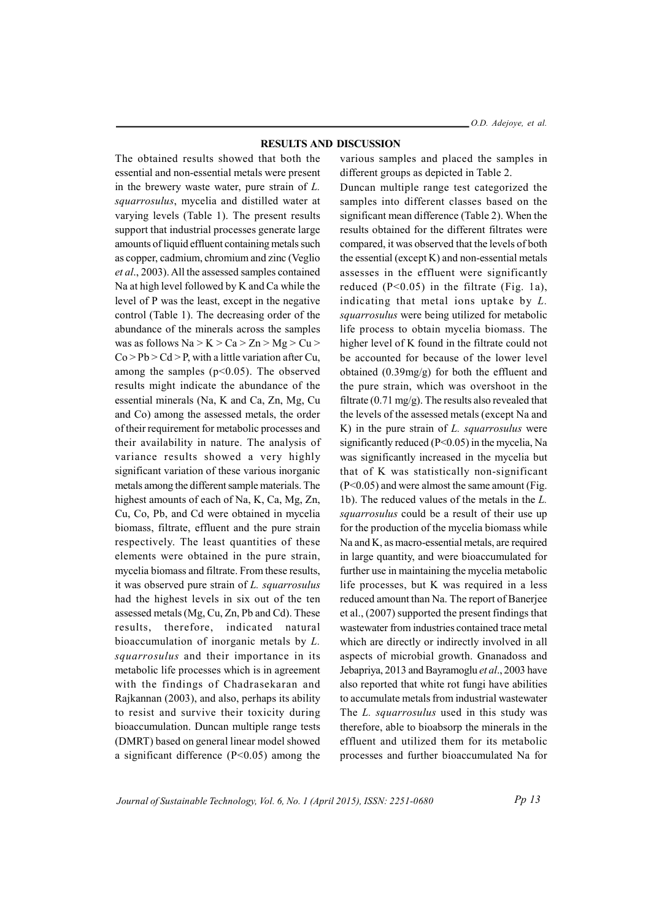### **RESULTS AND DISCUSSION**

The obtained results showed that both the essential and non-essential metals were present in the brewery waste water, pure strain of  $L$ . squarrosulus, mycelia and distilled water at varying levels (Table 1). The present results support that industrial processes generate large amounts of liquid effluent containing metals such as copper, cadmium, chromium and zinc (Veglio) et al., 2003). All the assessed samples contained Na at high level followed by K and Ca while the level of P was the least, except in the negative control (Table 1). The decreasing order of the abundance of the minerals across the samples was as follows  $Na > K > Ca > Zn > Mg > Cu >$  $Co > Pb > Cd > P$ , with a little variation after Cu, among the samples  $(p<0.05)$ . The observed results might indicate the abundance of the essential minerals (Na, K and Ca, Zn, Mg, Cu and Co) among the assessed metals, the order of their requirement for metabolic processes and their availability in nature. The analysis of variance results showed a very highly significant variation of these various inorganic metals among the different sample materials. The highest amounts of each of Na, K, Ca, Mg, Zn, Cu, Co, Pb, and Cd were obtained in mycelia biomass, filtrate, effluent and the pure strain respectively. The least quantities of these elements were obtained in the pure strain, mycelia biomass and filtrate. From these results, it was observed pure strain of L. squarrosulus had the highest levels in six out of the ten assessed metals (Mg, Cu, Zn, Pb and Cd). These results, therefore, indicated natural bioaccumulation of inorganic metals by L. squarrosulus and their importance in its metabolic life processes which is in agreement with the findings of Chadrasekaran and Rajkannan (2003), and also, perhaps its ability to resist and survive their toxicity during bioaccumulation. Duncan multiple range tests (DMRT) based on general linear model showed a significant difference  $(P<0.05)$  among the

various samples and placed the samples in different groups as depicted in Table 2.

Duncan multiple range test categorized the samples into different classes based on the significant mean difference (Table 2). When the results obtained for the different filtrates were compared, it was observed that the levels of both the essential (except K) and non-essential metals assesses in the effluent were significantly reduced  $(P<0.05)$  in the filtrate (Fig. 1a), indicating that metal ions uptake by  $L$ . squarrosulus were being utilized for metabolic life process to obtain mycelia biomass. The higher level of K found in the filtrate could not be accounted for because of the lower level obtained  $(0.39mg/g)$  for both the effluent and the pure strain, which was overshoot in the filtrate  $(0.71 \text{ mg/g})$ . The results also revealed that the levels of the assessed metals (except Na and K) in the pure strain of  $L$ , squarrosulus were significantly reduced ( $P<0.05$ ) in the mycelia, Na was significantly increased in the mycelia but that of K was statistically non-significant  $(P<0.05)$  and were almost the same amount (Fig. 1b). The reduced values of the metals in the L. *squarrosulus* could be a result of their use up for the production of the mycelia biomass while Na and K, as macro-essential metals, are required in large quantity, and were bioaccumulated for further use in maintaining the mycelia metabolic life processes, but K was required in a less reduced amount than Na. The report of Banerjee et al., (2007) supported the present findings that wastewater from industries contained trace metal which are directly or indirectly involved in all aspects of microbial growth. Gnanadoss and Jebapriya, 2013 and Bayramoglu et al., 2003 have also reported that white rot fungi have abilities to accumulate metals from industrial wastewater The L. squarrosulus used in this study was therefore, able to bioabsorp the minerals in the effluent and utilized them for its metabolic processes and further bioaccumulated Na for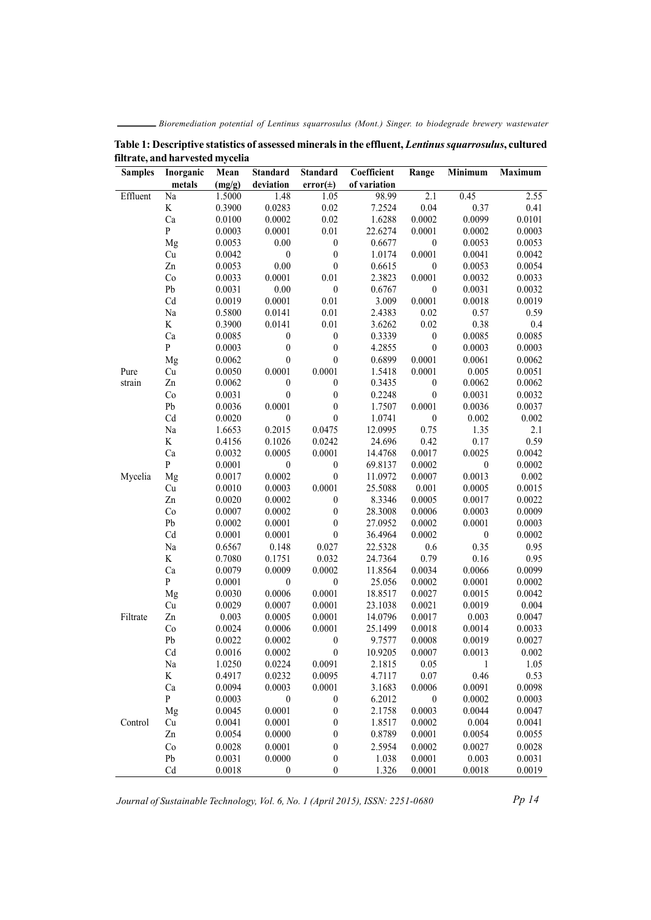Bioremediation potential of Lentinus squarrosulus (Mont.) Singer. to biodegrade brewery wastewater

| <b>Samples</b> | Inorganic    | Mean             | <b>Standard</b>  | <b>Standard</b>          | Coefficient       | Range            | Minimum          | Maximum           |
|----------------|--------------|------------------|------------------|--------------------------|-------------------|------------------|------------------|-------------------|
|                | metals       | (mg/g)           | deviation        | $error(\pm)$             | of variation      | $\overline{2.1}$ | 0.45             |                   |
| Effluent       | Na           | 1.5000           | 1.48             | 1.05                     | 98.99             |                  |                  | $\overline{2.55}$ |
|                | K<br>Ca      | 0.3900<br>0.0100 | 0.0283<br>0.0002 | 0.02<br>0.02             | 7.2524<br>1.6288  | 0.04<br>0.0002   | 0.37<br>0.0099   | 0.41<br>0.0101    |
|                | $\mathbf{P}$ |                  | 0.0001           |                          |                   | 0.0001           |                  |                   |
|                | Mg           | 0.0003<br>0.0053 | 0.00             | 0.01<br>$\boldsymbol{0}$ | 22.6274<br>0.6677 | $\boldsymbol{0}$ | 0.0002<br>0.0053 | 0.0003<br>0.0053  |
|                | Cu           | 0.0042           | $\boldsymbol{0}$ | $\boldsymbol{0}$         | 1.0174            | 0.0001           | 0.0041           | 0.0042            |
|                | Zn           | 0.0053           | $0.00\,$         | $\boldsymbol{0}$         | 0.6615            | $\boldsymbol{0}$ | 0.0053           | 0.0054            |
|                | Co           |                  | 0.0001           | $0.01\,$                 | 2.3823            | 0.0001           | 0.0032           | 0.0033            |
|                | Pb           | 0.0033<br>0.0031 | 0.00             | $\boldsymbol{0}$         | 0.6767            | $\mathbf{0}$     | 0.0031           | 0.0032            |
|                | Cd           | 0.0019           | 0.0001           | 0.01                     | 3.009             | 0.0001           | 0.0018           | 0.0019            |
|                | Na           | 0.5800           | 0.0141           | 0.01                     | 2.4383            | 0.02             | 0.57             | 0.59              |
|                | K            | 0.3900           | 0.0141           | 0.01                     | 3.6262            | 0.02             | 0.38             | 0.4               |
|                | Ca           | 0.0085           | $\boldsymbol{0}$ | $\boldsymbol{0}$         | 0.3339            | $\boldsymbol{0}$ | 0.0085           | 0.0085            |
|                | $\mathbf{P}$ | 0.0003           | $\boldsymbol{0}$ | $\boldsymbol{0}$         | 4.2855            | $\boldsymbol{0}$ | 0.0003           | 0.0003            |
|                | Mg           | 0.0062           | $\boldsymbol{0}$ | $\boldsymbol{0}$         | 0.6899            | 0.0001           | 0.0061           | 0.0062            |
| Pure           | Cu           | 0.0050           | 0.0001           | 0.0001                   | 1.5418            | 0.0001           | 0.005            | 0.0051            |
| strain         | Zn           | 0.0062           | $\boldsymbol{0}$ | $\boldsymbol{0}$         | 0.3435            | $\boldsymbol{0}$ | 0.0062           | 0.0062            |
|                | Co           | 0.0031           | $\boldsymbol{0}$ | $\boldsymbol{0}$         | 0.2248            | $\boldsymbol{0}$ | 0.0031           | 0.0032            |
|                | Pb           | 0.0036           | 0.0001           | $\boldsymbol{0}$         | 1.7507            | 0.0001           | 0.0036           | 0.0037            |
|                | Cd           | 0.0020           | $\boldsymbol{0}$ | $\boldsymbol{0}$         | 1.0741            | $\boldsymbol{0}$ | 0.002            | 0.002             |
|                | Na           | 1.6653           | 0.2015           | 0.0475                   | 12.0995           | 0.75             | 1.35             | 2.1               |
|                | $\rm K$      | 0.4156           | 0.1026           | 0.0242                   | 24.696            | 0.42             | 0.17             | 0.59              |
|                | Ca           | 0.0032           | 0.0005           | 0.0001                   | 14.4768           | 0.0017           | 0.0025           | 0.0042            |
|                | $\mathbf{P}$ | 0.0001           | $\boldsymbol{0}$ | $\boldsymbol{0}$         | 69.8137           | 0.0002           | $\boldsymbol{0}$ | 0.0002            |
| Mycelia        | Mg           | 0.0017           | 0.0002           | $\boldsymbol{0}$         | 11.0972           | 0.0007           | 0.0013           | 0.002             |
|                | Cu           | 0.0010           | 0.0003           | 0.0001                   | 25.5088           | 0.001            | 0.0005           | 0.0015            |
|                | Zn           | 0.0020           | 0.0002           | $\boldsymbol{0}$         | 8.3346            | 0.0005           | 0.0017           | 0.0022            |
|                | Co           | 0.0007           | 0.0002           | $\boldsymbol{0}$         | 28.3008           | 0.0006           | 0.0003           | 0.0009            |
|                | Pb           | 0.0002           | 0.0001           | $\boldsymbol{0}$         | 27.0952           | 0.0002           | 0.0001           | 0.0003            |
|                | Cd           | 0.0001           | 0.0001           | $\boldsymbol{0}$         | 36.4964           | 0.0002           | $\boldsymbol{0}$ | 0.0002            |
|                | Na           | 0.6567           | 0.148            | 0.027                    | 22.5328           | 0.6              | 0.35             | 0.95              |
|                | $\rm K$      | 0.7080           | 0.1751           | 0.032                    | 24.7364           | 0.79             | 0.16             | 0.95              |
|                | Ca           | 0.0079           | 0.0009           | 0.0002                   | 11.8564           | 0.0034           | 0.0066           | 0.0099            |
|                | $\mathbf{P}$ | 0.0001           | $\boldsymbol{0}$ | $\boldsymbol{0}$         | 25.056            | 0.0002           | 0.0001           | 0.0002            |
|                | Mg           | 0.0030           | 0.0006           | 0.0001                   | 18.8517           | 0.0027           | 0.0015           | 0.0042            |
|                | Cu           | 0.0029           | 0.0007           | 0.0001                   | 23.1038           | 0.0021           | 0.0019           | 0.004             |
| Filtrate       | Zn           | 0.003            | 0.0005           | 0.0001                   | 14.0796           | 0.0017           | 0.003            | 0.0047            |
|                | Co           | 0.0024           | 0.0006           | 0.0001                   | 25.1499           | 0.0018           | 0.0014           | 0.0033            |
|                | Pb           | 0.0022           | 0.0002           | $\boldsymbol{0}$         | 9.7577            | 0.0008           | 0.0019           | 0.0027            |
|                | Cd           | 0.0016           | 0.0002           | $\boldsymbol{0}$         | 10.9205           | 0.0007           | 0.0013           | 0.002             |
|                | $\rm Na$     | 1.0250           | 0.0224           | 0.0091                   | 2.1815            | 0.05             | 1                | 1.05              |
|                | $\rm K$      | 0.4917           | 0.0232           | 0.0095                   | 4.7117            | 0.07             | 0.46             | 0.53              |
|                | Ca           | 0.0094           | 0.0003           | 0.0001                   | 3.1683            | 0.0006           | 0.0091           | 0.0098            |
|                | P            | 0.0003           | $\boldsymbol{0}$ | $\boldsymbol{0}$         | 6.2012            | 0                | 0.0002           | 0.0003            |
|                | Mg           | 0.0045           | 0.0001           | $\boldsymbol{0}$         | 2.1758            | 0.0003           | 0.0044           | 0.0047            |
| Control        | Cu           | 0.0041           | 0.0001           | $\boldsymbol{0}$         | 1.8517            | 0.0002           | 0.004            | 0.0041            |
|                | Zn           | 0.0054           | 0.0000           | $\boldsymbol{0}$         | 0.8789            | 0.0001           | 0.0054           | 0.0055            |
|                | Co           | 0.0028           | 0.0001           | $\boldsymbol{0}$         | 2.5954            | 0.0002           | 0.0027           | 0.0028            |
|                | Pb           | 0.0031           | 0.0000           | $\boldsymbol{0}$         | 1.038             | 0.0001           | 0.003            | 0.0031            |
|                | L.J          | 0.0018           | $\Omega$         | $\Omega$                 | 1,326             | 0.0001           | 0.0018           | 0.0019            |

Table 1: Descriptive statistics of assessed minerals in the effluent, Lentinus squarrosulus, cultured filtrate, and harvested mycelia

Journal of Sustainable Technology, Vol. 6, No. 1 (April 2015), ISSN: 2251-0680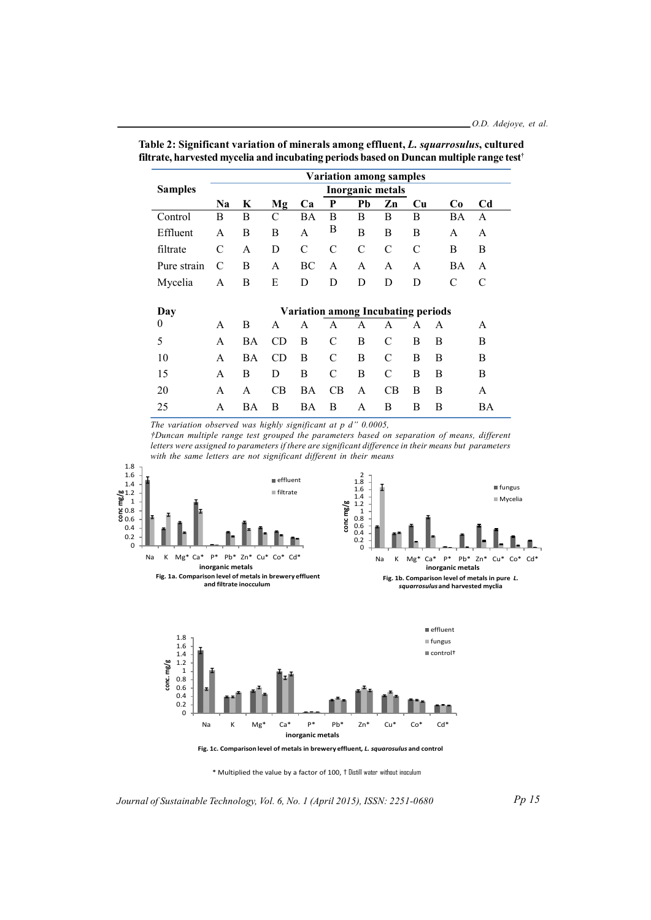|                | <b>Variation among samples</b>            |           |                |               |               |               |           |    |                |                |  |
|----------------|-------------------------------------------|-----------|----------------|---------------|---------------|---------------|-----------|----|----------------|----------------|--|
| <b>Samples</b> | <b>Inorganic metals</b>                   |           |                |               |               |               |           |    |                |                |  |
|                | N <sub>a</sub>                            | K         | Mg             | Ca            | P             | Pb            | Zn        | Cu | C <sub>0</sub> | C <sub>d</sub> |  |
| Control        | B                                         | B         | C              | BA            | B             | B             | B         | B  | BA             | A              |  |
| Effluent       | A                                         | В         | В              | A             | B             | B             | В         | B  | A              | A              |  |
| filtrate       | C                                         | A         | D              | $\mathcal{C}$ | C             | $\mathcal{C}$ | C         | C  | B              | B              |  |
| Pure strain    | C                                         | В         | A              | BC            | A             | A             | A         | A  | ΒA             | A              |  |
| Mycelia        | A                                         | В         | E              | D             | D             | D             | D         | D  | C              | C              |  |
|                |                                           |           |                |               |               |               |           |    |                |                |  |
| Day            | <b>Variation among Incubating periods</b> |           |                |               |               |               |           |    |                |                |  |
| $\bf{0}$       | A                                         | B         | A              | A             | A             | A             | A         | A  | A              | A              |  |
| 5              | A                                         | <b>BA</b> | CD             | B             | $\mathcal{C}$ | B             | C         | B  | B              | B              |  |
| 10             | A                                         | BA        | CD             | B             | $\mathcal{C}$ | B             | C         | В  | B              | B              |  |
| 15             | A                                         | B         | D              | B             | $\mathcal{C}$ | B             | C         | B  | B              | B              |  |
| 20             | A                                         | A         | C <sub>B</sub> | BA            | CB            | A             | <b>CB</b> | B  | B              | A              |  |
| 25             | A                                         | BA        | В              | BA            | B             | A             | B         | B  | В              | BA             |  |

Table 2: Significant variation of minerals among effluent, L. squarrosulus, cultured filtrate, harvested mycelia and incubating periods based on Duncan multiple range test<sup>+</sup>

The variation observed was highly significant at  $p$  d" 0.0005,

†Duncan multiple range test grouped the parameters based on separation of means, different letters were assigned to parameters if there are significant difference in their means but parameters with the same letters are not significant different in their means





Fig. 1c. Comparison level of metals in brewery effluent, L. squarosulus and control

\* Multiplied the value by a factor of 100, † Distill water without inoculum

Journal of Sustainable Technology, Vol. 6, No. 1 (April 2015), ISSN: 2251-0680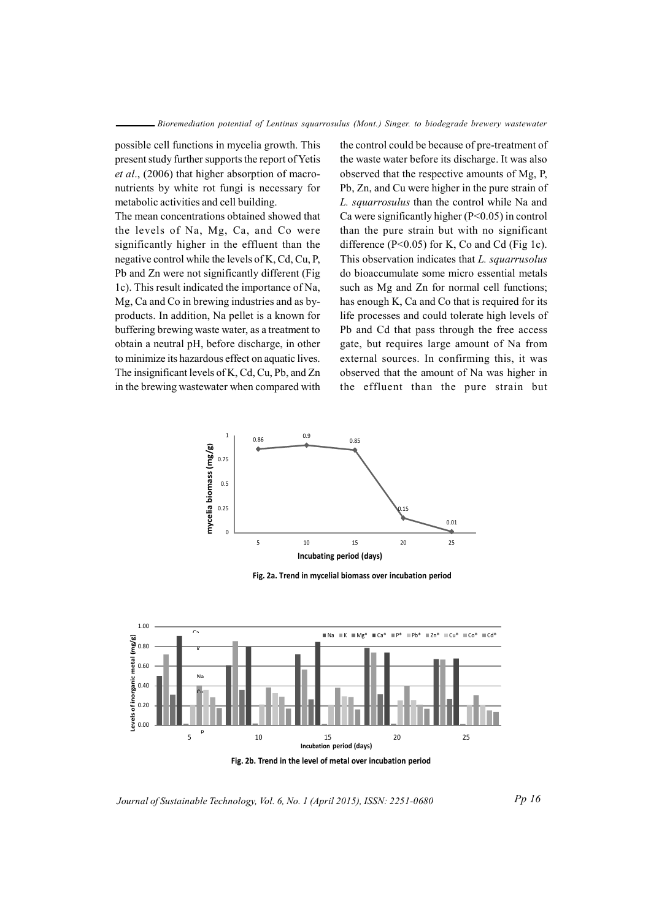possible cell functions in mycelia growth. This present study further supports the report of Yetis et al., (2006) that higher absorption of macronutrients by white rot fungi is necessary for metabolic activities and cell building.

The mean concentrations obtained showed that the levels of Na, Mg, Ca, and Co were significantly higher in the effluent than the negative control while the levels of K, Cd, Cu, P, Pb and Zn were not significantly different (Fig. 1c). This result indicated the importance of Na, Mg, Ca and Co in brewing industries and as byproducts. In addition, Na pellet is a known for buffering brewing waste water, as a treatment to obtain a neutral pH, before discharge, in other to minimize its hazardous effect on aquatic lives. The insignificant levels of K, Cd, Cu, Pb, and Zn in the brewing wastewater when compared with the control could be because of pre-treatment of the waste water before its discharge. It was also observed that the respective amounts of Mg, P, Pb, Zn, and Cu were higher in the pure strain of L. squarrosulus than the control while Na and Ca were significantly higher  $(P<0.05)$  in control than the pure strain but with no significant difference ( $P<0.05$ ) for K, Co and Cd (Fig 1c). This observation indicates that L. squarrusolus do bioaccumulate some micro essential metals such as Mg and Zn for normal cell functions; has enough K, Ca and Co that is required for its life processes and could tolerate high levels of Pb and Cd that pass through the free access gate, but requires large amount of Na from external sources. In confirming this, it was observed that the amount of Na was higher in the effluent than the pure strain but



Fig. 2a. Trend in mycelial biomass over incubation period



Journal of Sustainable Technology, Vol. 6, No. 1 (April 2015), ISSN: 2251-0680

Pp 16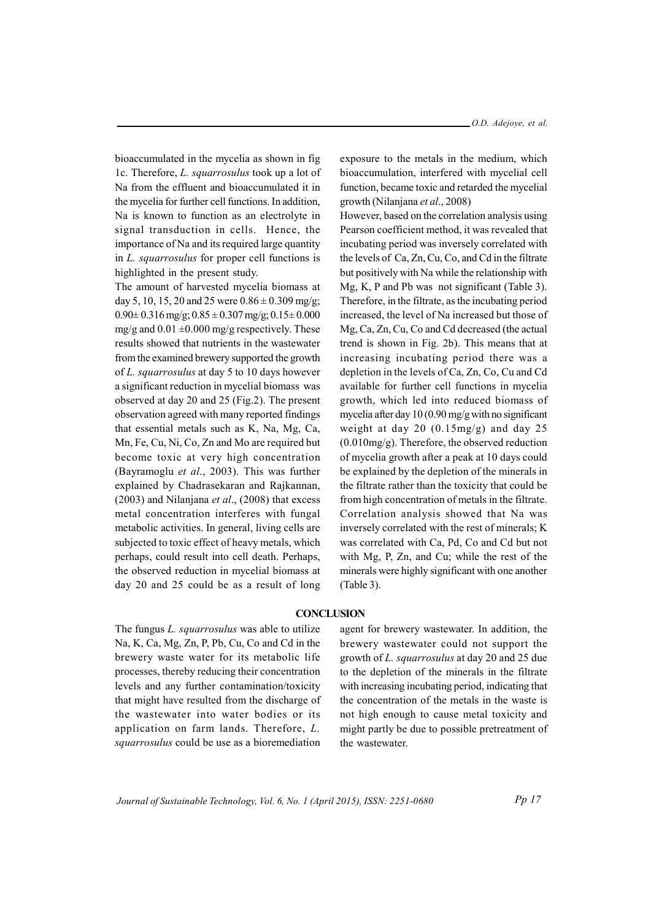bioaccumulated in the mycelia as shown in fig. 1c. Therefore, L. squarrosulus took up a lot of Na from the effluent and bioaccumulated it in the mycelia for further cell functions. In addition, Na is known to function as an electrolyte in signal transduction in cells. Hence, the importance of Na and its required large quantity in L. squarrosulus for proper cell functions is highlighted in the present study.

The amount of harvested mycelia biomass at day 5, 10, 15, 20 and 25 were  $0.86 \pm 0.309$  mg/g;  $0.90 \pm 0.316$  mg/g;  $0.85 \pm 0.307$  mg/g;  $0.15 \pm 0.000$ mg/g and  $0.01 \pm 0.000$  mg/g respectively. These results showed that nutrients in the wastewater from the examined brewery supported the growth of L. squarrosulus at day 5 to 10 days however a significant reduction in mycelial biomass was observed at day 20 and 25 (Fig.2). The present observation agreed with many reported findings that essential metals such as K, Na, Mg, Ca, Mn, Fe, Cu, Ni, Co, Zn and Mo are required but become toxic at very high concentration (Bayramoglu et al., 2003). This was further explained by Chadrasekaran and Rajkannan,  $(2003)$  and Nilanjana *et al.*,  $(2008)$  that excess metal concentration interferes with fungal metabolic activities. In general, living cells are subjected to toxic effect of heavy metals, which perhaps, could result into cell death. Perhaps, the observed reduction in mycelial biomass at day 20 and 25 could be as a result of long exposure to the metals in the medium, which bioaccumulation, interfered with mycelial cell function, became toxic and retarded the mycelial growth (Nilanjana et al., 2008)

However, based on the correlation analysis using Pearson coefficient method, it was revealed that incubating period was inversely correlated with the levels of Ca, Zn, Cu, Co, and Cd in the filtrate but positively with Na while the relationship with Mg, K, P and Pb was not significant (Table 3). Therefore, in the filtrate, as the incubating period increased, the level of Na increased but those of Mg, Ca, Zn, Cu, Co and Cd decreased (the actual trend is shown in Fig. 2b). This means that at increasing incubating period there was a depletion in the levels of Ca, Zn, Co, Cu and Cd available for further cell functions in mycelia growth, which led into reduced biomass of mycelia after day  $10(0.90 \text{ mg/g with no significant})$ weight at day 20  $(0.15mg/g)$  and day 25  $(0.010mg/g)$ . Therefore, the observed reduction of mycelia growth after a peak at 10 days could be explained by the depletion of the minerals in the filtrate rather than the toxicity that could be from high concentration of metals in the filtrate. Correlation analysis showed that Na was inversely correlated with the rest of minerals; K was correlated with Ca, Pd, Co and Cd but not with Mg, P, Zn, and Cu; while the rest of the minerals were highly significant with one another  $(Table 3)$ .

### **CONCLUSION**

The fungus L. squarrosulus was able to utilize Na, K, Ca, Mg, Zn, P, Pb, Cu, Co and Cd in the brewery waste water for its metabolic life processes, thereby reducing their concentration levels and any further contamination/toxicity that might have resulted from the discharge of the wastewater into water bodies or its application on farm lands. Therefore, L. squarrosulus could be use as a bioremediation

agent for brewery wastewater. In addition, the brewery wastewater could not support the growth of L. squarrosulus at day 20 and 25 due to the depletion of the minerals in the filtrate with increasing incubating period, indicating that the concentration of the metals in the waste is not high enough to cause metal toxicity and might partly be due to possible pretreatment of the wastewater.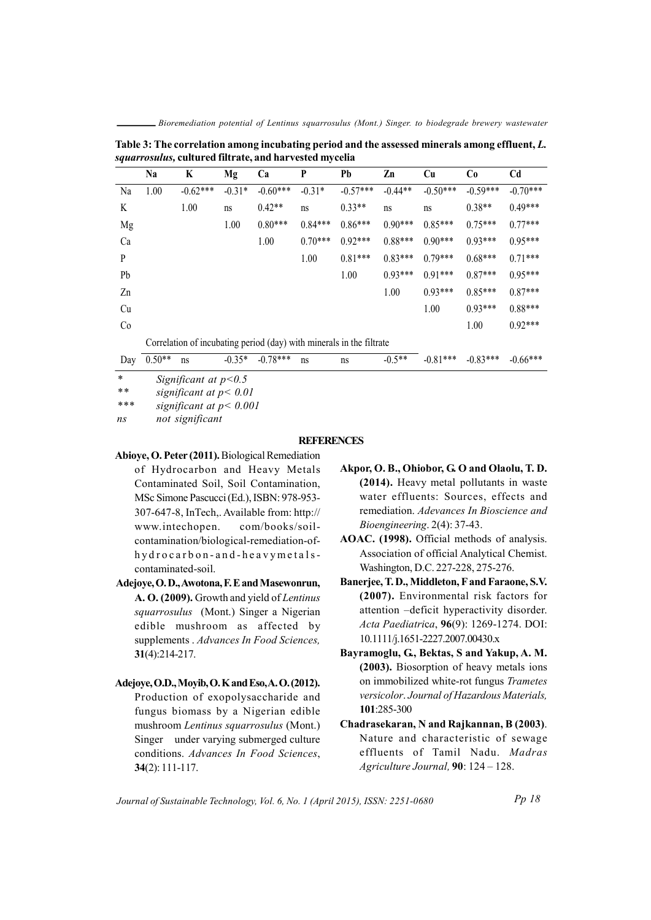Bioremediation potential of Lentinus squarrosulus (Mont.) Singer. to biodegrade brewery wastewater

Table 3: The correlation among incubating period and the assessed minerals among effluent, L. squarrosulus, cultured filtrate, and harvested mycelia

|                | Na                                                                   | K          | Mg       | Ca         | P         | Pb         | Zn        | Cu         | Co         | C <sub>d</sub> |  |
|----------------|----------------------------------------------------------------------|------------|----------|------------|-----------|------------|-----------|------------|------------|----------------|--|
| Na             | 1.00                                                                 | $-0.62***$ | $-0.31*$ | $-0.60***$ | $-0.31*$  | $-0.57***$ | $-0.44**$ | $-0.50***$ | $-0.59***$ | $-0.70***$     |  |
| K              |                                                                      | 1.00       | ns       | $0.42**$   | ns        | $0.33**$   | ns        | ns         | $0.38**$   | $0.49***$      |  |
| Mg             |                                                                      |            | 1.00     | $0.80***$  | $0.84***$ | $0.86***$  | $0.90***$ | $0.85***$  | $0.75***$  | $0.77***$      |  |
| Ca             |                                                                      |            |          | 1.00       | $0.70***$ | $0.92***$  | $0.88***$ | $0.90***$  | $0.93***$  | $0.95***$      |  |
| P              |                                                                      |            |          |            | 1.00      | $0.81***$  | $0.83***$ | $0.79***$  | $0.68***$  | $0.71***$      |  |
| Pb             |                                                                      |            |          |            |           | 1.00       | $0.93***$ | $0.91***$  | $0.87***$  | $0.95***$      |  |
| Zn             |                                                                      |            |          |            |           |            | 1.00      | $0.93***$  | $0.85***$  | $0.87***$      |  |
| Cu             |                                                                      |            |          |            |           |            |           | 1.00       | $0.93***$  | $0.88***$      |  |
| C <sub>0</sub> |                                                                      |            |          |            |           |            |           |            | 1.00       | $0.92***$      |  |
|                | Correlation of incubating period (day) with minerals in the filtrate |            |          |            |           |            |           |            |            |                |  |
| Day            | $0.50**$                                                             | ns         | $-0.35*$ | $-0.78***$ | ns        | ns         | $-0.5**$  | $-0.81***$ | $-0.83***$ | $-0.66***$     |  |
| $\ast$         | $Sianification \star n \times 0.5$                                   |            |          |            |           |            |           |            |            |                |  |

Significant at  $p<0.5$  $**$ 

significant at  $p < 0.01$ 

 $***$ significant at  $p < 0.001$ 

not significant  $n_{\rm S}$ 

## **REFERENCES**

Abioye, O. Peter (2011). Biological Remediation

- of Hydrocarbon and Heavy Metals Contaminated Soil, Soil Contamination, MSc Simone Pascucci (Ed.), ISBN: 978-953-307-647-8, InTech,. Available from: http:// www.intechopen. com/books/soilcontamination/biological-remediation-ofhydrocarbon-and-heavymetalscontaminated-soil.
- Adejove, O.D., Awotona, F. E and Masewonrun, A. O. (2009). Growth and yield of Lentinus squarrosulus (Mont.) Singer a Nigerian edible mushroom as affected by supplements . Advances In Food Sciences,  $31(4):214-217.$
- Adejoye, O.D., Moyib, O.K and Eso, A.O. (2012). Production of exopolysaccharide and fungus biomass by a Nigerian edible mushroom Lentinus squarrosulus (Mont.) Singer under varying submerged culture conditions. Advances In Food Sciences,  $34(2): 111-117.$
- Akpor, O. B., Ohiobor, G. O and Olaolu, T. D. (2014). Heavy metal pollutants in waste water effluents: Sources, effects and remediation. Adevances In Bioscience and Bioengineering. 2(4): 37-43.
- AOAC. (1998). Official methods of analysis. Association of official Analytical Chemist. Washington, D.C. 227-228, 275-276.
- Banerjee, T. D., Middleton, F and Faraone, S.V. (2007). Environmental risk factors for attention -deficit hyperactivity disorder. Acta Paediatrica, 96(9): 1269-1274. DOI: 10.1111/j.1651-2227.2007.00430.x
- Bavramoglu, G., Bektas, S and Yakup, A. M. (2003). Biosorption of heavy metals ions on immobilized white-rot fungus Trametes versicolor. Journal of Hazardous Materials, 101:285-300
- Chadrasekaran, N and Rajkannan, B (2003). Nature and characteristic of sewage effluents of Tamil Nadu. Madras Agriculture Journal, 90: 124 - 128.

Journal of Sustainable Technology, Vol. 6, No. 1 (April 2015), ISSN: 2251-0680